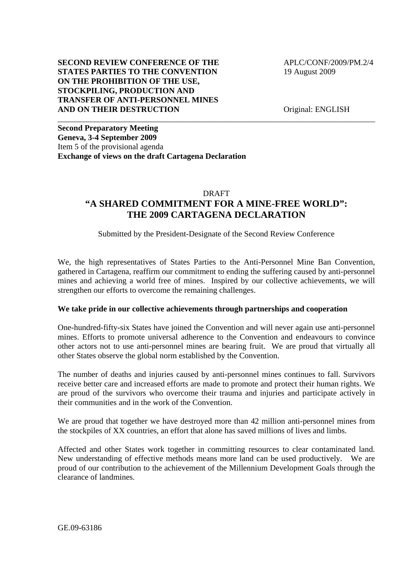## **SECOND REVIEW CONFERENCE OF THE APLC/CONF/2009/PM.2/4 STATES PARTIES TO THE CONVENTION** 19 August 2009 **ON THE PROHIBITION OF THE USE, STOCKPILING, PRODUCTION AND TRANSFER OF ANTI-PERSONNEL MINES AND ON THEIR DESTRUCTION** Original: ENGLISH

**Second Preparatory Meeting Geneva, 3-4 September 2009**  Item 5 of the provisional agenda **Exchange of views on the draft Cartagena Declaration** 

#### DRAFT

\_\_\_\_\_\_\_\_\_\_\_\_\_\_\_\_\_\_\_\_\_\_\_\_\_\_\_\_\_\_\_\_\_\_\_\_\_\_\_\_\_\_\_\_\_\_\_\_\_\_\_\_\_\_\_\_\_\_\_\_\_\_\_\_\_\_\_\_\_\_\_\_\_\_\_\_\_\_

# **"A SHARED COMMITMENT FOR A MINE-FREE WORLD": THE 2009 CARTAGENA DECLARATION**

## Submitted by the President-Designate of the Second Review Conference

We, the high representatives of States Parties to the Anti-Personnel Mine Ban Convention, gathered in Cartagena, reaffirm our commitment to ending the suffering caused by anti-personnel mines and achieving a world free of mines. Inspired by our collective achievements, we will strengthen our efforts to overcome the remaining challenges.

#### **We take pride in our collective achievements through partnerships and cooperation**

One-hundred-fifty-six States have joined the Convention and will never again use anti-personnel mines. Efforts to promote universal adherence to the Convention and endeavours to convince other actors not to use anti-personnel mines are bearing fruit. We are proud that virtually all other States observe the global norm established by the Convention.

The number of deaths and injuries caused by anti-personnel mines continues to fall. Survivors receive better care and increased efforts are made to promote and protect their human rights. We are proud of the survivors who overcome their trauma and injuries and participate actively in their communities and in the work of the Convention.

We are proud that together we have destroyed more than 42 million anti-personnel mines from the stockpiles of XX countries, an effort that alone has saved millions of lives and limbs.

Affected and other States work together in committing resources to clear contaminated land. New understanding of effective methods means more land can be used productively. We are proud of our contribution to the achievement of the Millennium Development Goals through the clearance of landmines.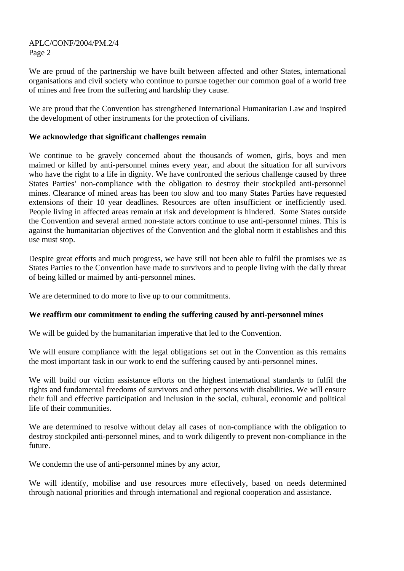APLC/CONF/2004/PM.2/4 Page 2

We are proud of the partnership we have built between affected and other States, international organisations and civil society who continue to pursue together our common goal of a world free of mines and free from the suffering and hardship they cause.

We are proud that the Convention has strengthened International Humanitarian Law and inspired the development of other instruments for the protection of civilians.

## **We acknowledge that significant challenges remain**

We continue to be gravely concerned about the thousands of women, girls, boys and men maimed or killed by anti-personnel mines every year, and about the situation for all survivors who have the right to a life in dignity. We have confronted the serious challenge caused by three States Parties' non-compliance with the obligation to destroy their stockpiled anti-personnel mines. Clearance of mined areas has been too slow and too many States Parties have requested extensions of their 10 year deadlines. Resources are often insufficient or inefficiently used. People living in affected areas remain at risk and development is hindered. Some States outside the Convention and several armed non-state actors continue to use anti-personnel mines. This is against the humanitarian objectives of the Convention and the global norm it establishes and this use must stop.

Despite great efforts and much progress, we have still not been able to fulfil the promises we as States Parties to the Convention have made to survivors and to people living with the daily threat of being killed or maimed by anti-personnel mines.

We are determined to do more to live up to our commitments.

# **We reaffirm our commitment to ending the suffering caused by anti-personnel mines**

We will be guided by the humanitarian imperative that led to the Convention.

We will ensure compliance with the legal obligations set out in the Convention as this remains the most important task in our work to end the suffering caused by anti-personnel mines.

We will build our victim assistance efforts on the highest international standards to fulfil the rights and fundamental freedoms of survivors and other persons with disabilities. We will ensure their full and effective participation and inclusion in the social, cultural, economic and political life of their communities.

We are determined to resolve without delay all cases of non-compliance with the obligation to destroy stockpiled anti-personnel mines, and to work diligently to prevent non-compliance in the future.

We condemn the use of anti-personnel mines by any actor,

We will identify, mobilise and use resources more effectively, based on needs determined through national priorities and through international and regional cooperation and assistance.